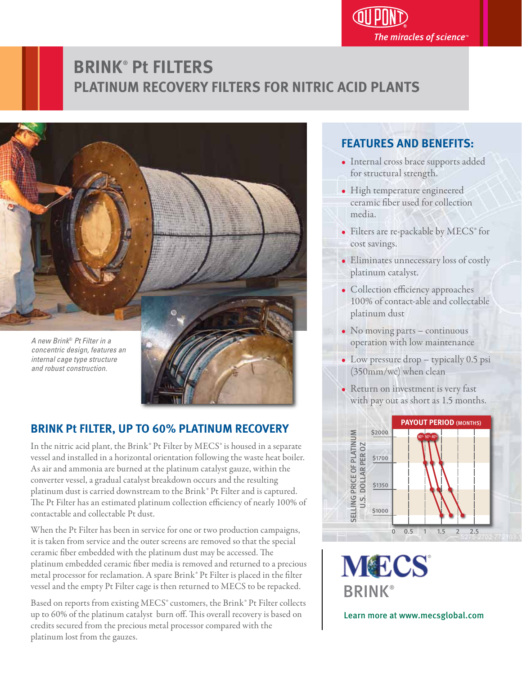

# **BRINK**®  **Pt FILTERS PLATINUM RECOVERY FILTERS FOR NITRIC ACID PLANTS**



#### **BRINK Pt FILTER, UP TO 60% PLATINUM RECOVERY** j

In the nitric acid plant, the Brink® Pt Filter by MECS® is housed in a separate vessel and installed in a horizontal orientation following the waste heat boiler. As air and ammonia are burned at the platinum catalyst gauze, within the converter vessel, a gradual catalyst breakdown occurs and the resulting platinum dust is carried downstream to the Brink® Pt Filter and is captured. The Pt Filter has an estimated platinum collection efficiency of nearly 100% of contactable and collectable Pt dust.

When the Pt Filter has been in service for one or two production campaigns, it is taken from service and the outer screens are removed so that the special ceramic fiber embedded with the platinum dust may be accessed. The platinum embedded ceramic fiber media is removed and returned to a precious metal processor for reclamation. A spare Brink® Pt Filter is placed in the filter vessel and the empty Pt Filter cage is then returned to MECS to be repacked.

Based on reports from existing MECS® customers, the Brink® Pt Filter collects up to 60% of the platinum catalyst burn off. This overall recovery is based on credits secured from the precious metal processor compared with the platinum lost from the gauzes.

#### **FEATURES AND BENEFITS:** ֖֖֖֦֧ׅ֧֪֪ׅ֚֚֚֚֚֚֚֚֚֚֚֚֚֚֚֚֚֬֡֡֡֡֬֝֬֓֡֡֬֝֩֓֡֡֬֓֡֬

- Internal cross brace supports added for structural strength.
- High temperature engineered ceramic fiber used for collection media.
- Filters are re-packable by MECS® for cost savings.
- Eliminates unnecessary loss of costly platinum catalyst.
- Collection efficiency approaches 100% of contact-able and collectable platinum dust
- No moving parts continuous operation with low maintenance
- Low pressure drop typically 0.5 psi (350mm/wc) when clean
- Return on investment is very fast with pay out as short as 1.5 months.



**MECS BRINK®** 

Learn more at www.mecsglobal.com